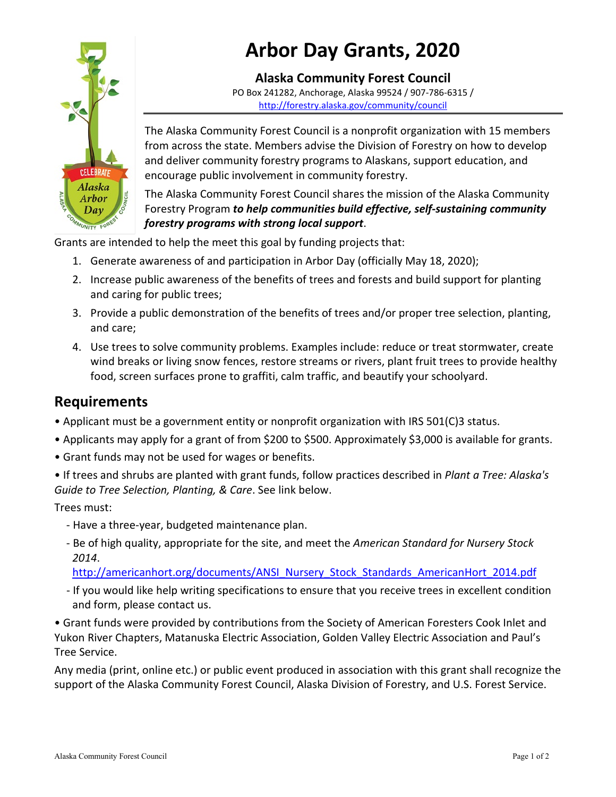

# **Arbor Day Grants, 2020**

**Alaska Community Forest Council** PO Box 241282, Anchorage, Alaska 99524 / 907-786-6315 / <http://forestry.alaska.gov/community/council>

The Alaska Community Forest Council is a nonprofit organization with 15 members from across the state. Members advise the Division of Forestry on how to develop and deliver community forestry programs to Alaskans, support education, and encourage public involvement in community forestry.

The Alaska Community Forest Council shares the mission of the Alaska Community Forestry Program *to help communities build effective, self-sustaining community forestry programs with strong local support*.

Grants are intended to help the meet this goal by funding projects that:

- 1. Generate awareness of and participation in Arbor Day (officially May 18, 2020);
- 2. Increase public awareness of the benefits of trees and forests and build support for planting and caring for public trees;
- 3. Provide a public demonstration of the benefits of trees and/or proper tree selection, planting, and care;
- 4. Use trees to solve community problems. Examples include: reduce or treat stormwater, create wind breaks or living snow fences, restore streams or rivers, plant fruit trees to provide healthy food, screen surfaces prone to graffiti, calm traffic, and beautify your schoolyard.

## **Requirements**

- Applicant must be a government entity or nonprofit organization with IRS 501(C)3 status.
- Applicants may apply for a grant of from \$200 to \$500. Approximately \$3,000 is available for grants.
- Grant funds may not be used for wages or benefits.
- If trees and shrubs are planted with grant funds, follow practices described in *Plant a Tree: Alaska's Guide to Tree Selection, Planting, & Care*. See link below.

Trees must:

- Have a three-year, budgeted maintenance plan.
- Be of high quality, appropriate for the site, and meet the *American Standard for Nursery Stock 2014*.

[http://americanhort.org/documents/ANSI\\_Nursery\\_Stock\\_Standards\\_AmericanHort\\_2014.pdf](http://americanhort.org/documents/ANSI_Nursery_Stock_Standards_AmericanHort_2014.pdf)

- If you would like help writing specifications to ensure that you receive trees in excellent condition and form, please contact us.

• Grant funds were provided by contributions from the Society of American Foresters Cook Inlet and Yukon River Chapters, Matanuska Electric Association, Golden Valley Electric Association and Paul's Tree Service.

Any media (print, online etc.) or public event produced in association with this grant shall recognize the support of the Alaska Community Forest Council, Alaska Division of Forestry, and U.S. Forest Service.